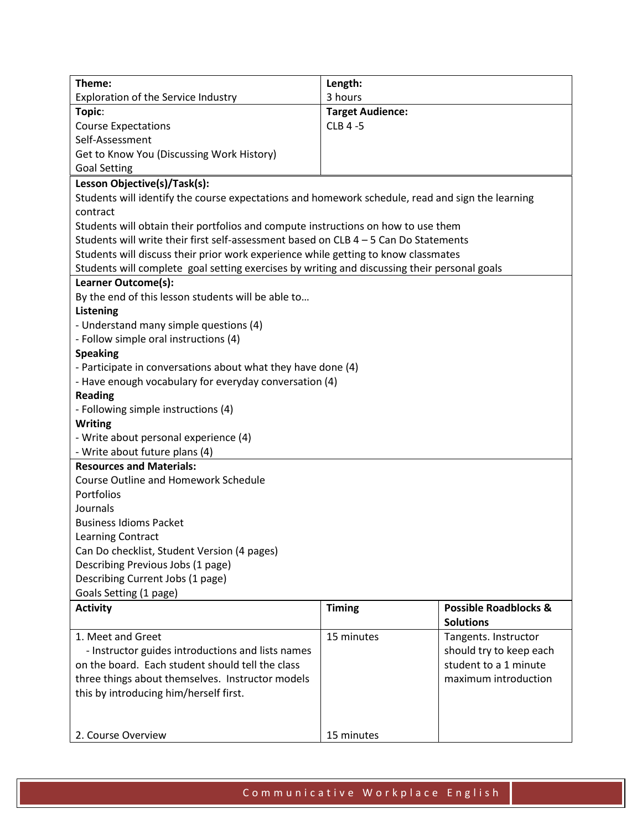| Theme:                                                                                           | Length:                 |                                  |  |  |  |
|--------------------------------------------------------------------------------------------------|-------------------------|----------------------------------|--|--|--|
| Exploration of the Service Industry                                                              | 3 hours                 |                                  |  |  |  |
| Topic:                                                                                           | <b>Target Audience:</b> |                                  |  |  |  |
| <b>Course Expectations</b>                                                                       | <b>CLB 4 -5</b>         |                                  |  |  |  |
| Self-Assessment                                                                                  |                         |                                  |  |  |  |
| Get to Know You (Discussing Work History)                                                        |                         |                                  |  |  |  |
| <b>Goal Setting</b>                                                                              |                         |                                  |  |  |  |
| Lesson Objective(s)/Task(s):                                                                     |                         |                                  |  |  |  |
| Students will identify the course expectations and homework schedule, read and sign the learning |                         |                                  |  |  |  |
| contract                                                                                         |                         |                                  |  |  |  |
| Students will obtain their portfolios and compute instructions on how to use them                |                         |                                  |  |  |  |
| Students will write their first self-assessment based on CLB 4 - 5 Can Do Statements             |                         |                                  |  |  |  |
| Students will discuss their prior work experience while getting to know classmates               |                         |                                  |  |  |  |
| Students will complete goal setting exercises by writing and discussing their personal goals     |                         |                                  |  |  |  |
| Learner Outcome(s):                                                                              |                         |                                  |  |  |  |
| By the end of this lesson students will be able to                                               |                         |                                  |  |  |  |
| Listening                                                                                        |                         |                                  |  |  |  |
| - Understand many simple questions (4)<br>- Follow simple oral instructions (4)                  |                         |                                  |  |  |  |
| <b>Speaking</b>                                                                                  |                         |                                  |  |  |  |
| - Participate in conversations about what they have done (4)                                     |                         |                                  |  |  |  |
| - Have enough vocabulary for everyday conversation (4)                                           |                         |                                  |  |  |  |
| <b>Reading</b>                                                                                   |                         |                                  |  |  |  |
| - Following simple instructions (4)                                                              |                         |                                  |  |  |  |
| <b>Writing</b>                                                                                   |                         |                                  |  |  |  |
| - Write about personal experience (4)                                                            |                         |                                  |  |  |  |
| - Write about future plans (4)                                                                   |                         |                                  |  |  |  |
| <b>Resources and Materials:</b>                                                                  |                         |                                  |  |  |  |
| <b>Course Outline and Homework Schedule</b>                                                      |                         |                                  |  |  |  |
| Portfolios                                                                                       |                         |                                  |  |  |  |
| Journals                                                                                         |                         |                                  |  |  |  |
| <b>Business Idioms Packet</b>                                                                    |                         |                                  |  |  |  |
| Learning Contract                                                                                |                         |                                  |  |  |  |
| Can Do checklist, Student Version (4 pages)                                                      |                         |                                  |  |  |  |
| Describing Previous Jobs (1 page)                                                                |                         |                                  |  |  |  |
| Describing Current Jobs (1 page)                                                                 |                         |                                  |  |  |  |
| Goals Setting (1 page)                                                                           |                         |                                  |  |  |  |
| <b>Activity</b>                                                                                  | <b>Timing</b>           | <b>Possible Roadblocks &amp;</b> |  |  |  |
|                                                                                                  |                         | <b>Solutions</b>                 |  |  |  |
| 1. Meet and Greet                                                                                | 15 minutes              | Tangents. Instructor             |  |  |  |
| - Instructor guides introductions and lists names                                                |                         | should try to keep each          |  |  |  |
| on the board. Each student should tell the class                                                 |                         | student to a 1 minute            |  |  |  |
| three things about themselves. Instructor models                                                 |                         | maximum introduction             |  |  |  |
| this by introducing him/herself first.                                                           |                         |                                  |  |  |  |
|                                                                                                  |                         |                                  |  |  |  |
|                                                                                                  |                         |                                  |  |  |  |
| 2. Course Overview                                                                               | 15 minutes              |                                  |  |  |  |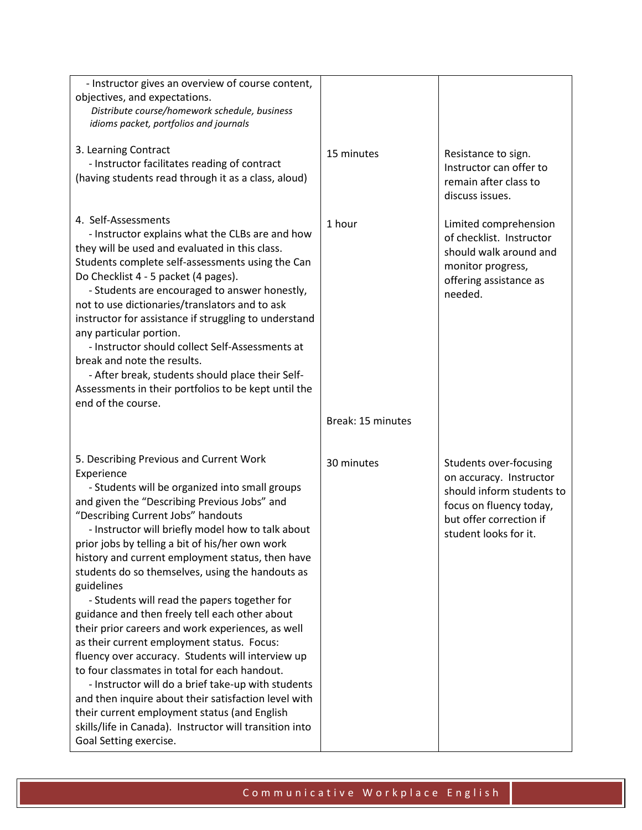| - Instructor gives an overview of course content,<br>objectives, and expectations.<br>Distribute course/homework schedule, business<br>idioms packet, portfolios and journals                                                                                                                                                                                                                                                                                                                                                                                                                                                                                                                                                                                                                                                                                                                                                                                                             |                             |                                                                                                                                                               |
|-------------------------------------------------------------------------------------------------------------------------------------------------------------------------------------------------------------------------------------------------------------------------------------------------------------------------------------------------------------------------------------------------------------------------------------------------------------------------------------------------------------------------------------------------------------------------------------------------------------------------------------------------------------------------------------------------------------------------------------------------------------------------------------------------------------------------------------------------------------------------------------------------------------------------------------------------------------------------------------------|-----------------------------|---------------------------------------------------------------------------------------------------------------------------------------------------------------|
| 3. Learning Contract<br>- Instructor facilitates reading of contract<br>(having students read through it as a class, aloud)                                                                                                                                                                                                                                                                                                                                                                                                                                                                                                                                                                                                                                                                                                                                                                                                                                                               | 15 minutes                  | Resistance to sign.<br>Instructor can offer to<br>remain after class to<br>discuss issues.                                                                    |
| 4. Self-Assessments<br>- Instructor explains what the CLBs are and how<br>they will be used and evaluated in this class.<br>Students complete self-assessments using the Can<br>Do Checklist 4 - 5 packet (4 pages).<br>- Students are encouraged to answer honestly,<br>not to use dictionaries/translators and to ask<br>instructor for assistance if struggling to understand<br>any particular portion.<br>- Instructor should collect Self-Assessments at<br>break and note the results.<br>- After break, students should place their Self-<br>Assessments in their portfolios to be kept until the<br>end of the course.                                                                                                                                                                                                                                                                                                                                                           | 1 hour<br>Break: 15 minutes | Limited comprehension<br>of checklist. Instructor<br>should walk around and<br>monitor progress,<br>offering assistance as<br>needed.                         |
| 5. Describing Previous and Current Work<br>Experience<br>- Students will be organized into small groups<br>and given the "Describing Previous Jobs" and<br>"Describing Current Jobs" handouts<br>- Instructor will briefly model how to talk about<br>prior jobs by telling a bit of his/her own work<br>history and current employment status, then have<br>students do so themselves, using the handouts as<br>guidelines<br>- Students will read the papers together for<br>guidance and then freely tell each other about<br>their prior careers and work experiences, as well<br>as their current employment status. Focus:<br>fluency over accuracy. Students will interview up<br>to four classmates in total for each handout.<br>- Instructor will do a brief take-up with students<br>and then inquire about their satisfaction level with<br>their current employment status (and English<br>skills/life in Canada). Instructor will transition into<br>Goal Setting exercise. | 30 minutes                  | Students over-focusing<br>on accuracy. Instructor<br>should inform students to<br>focus on fluency today,<br>but offer correction if<br>student looks for it. |

Communicative Workplace English